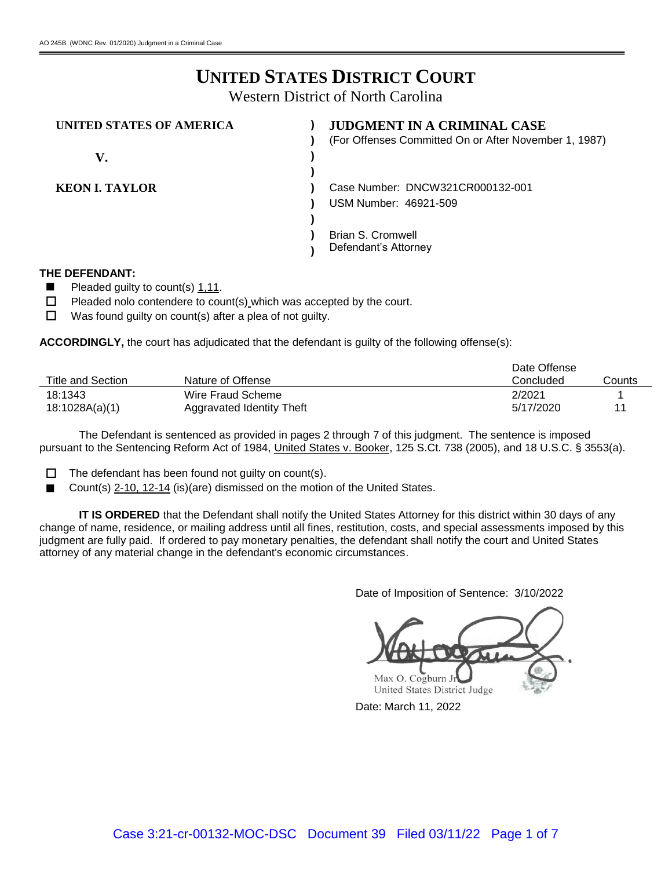# **UNITED STATES DISTRICT COURT**

Western District of North Carolina

| UNITED STATES OF AMERICA | <b>JUDGMENT IN A CRIMINAL CASE</b>                    |
|--------------------------|-------------------------------------------------------|
|                          | (For Offenses Committed On or After November 1, 1987) |
| V.                       |                                                       |
|                          |                                                       |
| <b>KEON I. TAYLOR</b>    | Case Number: DNCW321CR000132-001                      |
|                          | USM Number: 46921-509                                 |
|                          |                                                       |
|                          | <b>Brian S. Cromwell</b>                              |
|                          | Defendant's Attorney                                  |

#### **THE DEFENDANT:**

- $\blacksquare$  Pleaded guilty to count(s) 1,11.
- $\Box$  Pleaded nolo contendere to count(s) which was accepted by the court.
- $\Box$  Was found guilty on count(s) after a plea of not guilty.

**ACCORDINGLY,** the court has adjudicated that the defendant is guilty of the following offense(s):

|                   |                           | Date Offense |        |
|-------------------|---------------------------|--------------|--------|
| Title and Section | Nature of Offense         | Concluded    | Counts |
| 18:1343           | Wire Fraud Scheme         | 2/2021       |        |
| 18:1028A(a)(1)    | Aggravated Identity Theft | 5/17/2020    | 11     |

The Defendant is sentenced as provided in pages 2 through 7 of this judgment. The sentence is imposed pursuant to the Sentencing Reform Act of 1984, United States v. Booker, 125 S.Ct. 738 (2005), and 18 U.S.C. § 3553(a).

- $\Box$  The defendant has been found not guilty on count(s).
- Count(s) 2-10, 12-14 (is)(are) dismissed on the motion of the United States.

**IT IS ORDERED** that the Defendant shall notify the United States Attorney for this district within 30 days of any change of name, residence, or mailing address until all fines, restitution, costs, and special assessments imposed by this judgment are fully paid. If ordered to pay monetary penalties, the defendant shall notify the court and United States attorney of any material change in the defendant's economic circumstances.

Date of Imposition of Sentence: 3/10/2022

Max O. Cogburn J United States District Judge

Date: March 11, 2022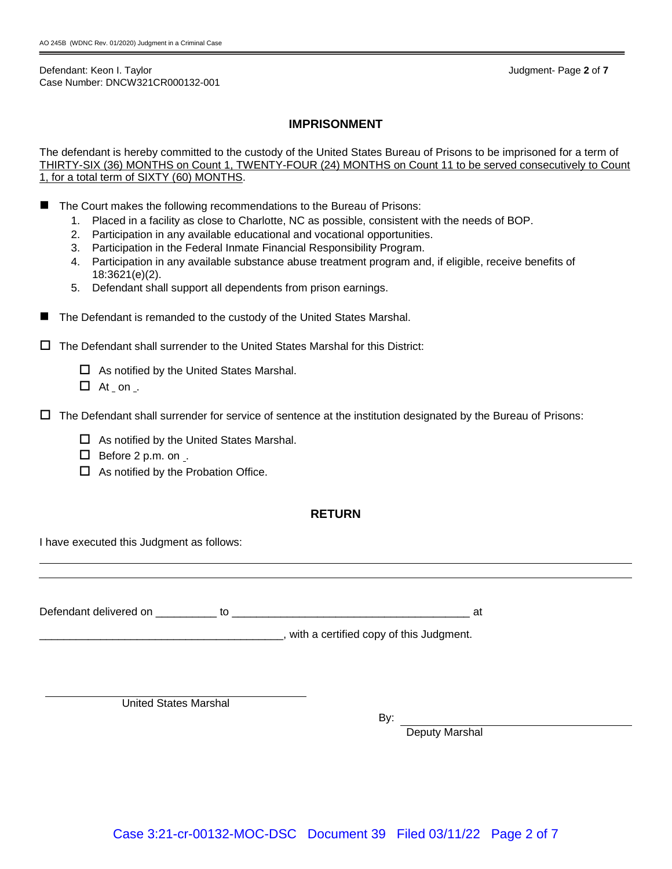Defendant: Keon I. Taylor Judgment- Page **2** of **7** Case Number: DNCW321CR000132-001

#### **IMPRISONMENT**

The defendant is hereby committed to the custody of the United States Bureau of Prisons to be imprisoned for a term of THIRTY-SIX (36) MONTHS on Count 1, TWENTY-FOUR (24) MONTHS on Count 11 to be served consecutively to Count 1, for a total term of SIXTY (60) MONTHS.

- The Court makes the following recommendations to the Bureau of Prisons:
	- 1. Placed in a facility as close to Charlotte, NC as possible, consistent with the needs of BOP.
	- 2. Participation in any available educational and vocational opportunities.
	- 3. Participation in the Federal Inmate Financial Responsibility Program.
	- 4. Participation in any available substance abuse treatment program and, if eligible, receive benefits of 18:3621(e)(2).
	- 5. Defendant shall support all dependents from prison earnings.
- The Defendant is remanded to the custody of the United States Marshal.

 $\Box$  The Defendant shall surrender to the United States Marshal for this District:

 $\Box$  As notified by the United States Marshal.

 $\Box$  At on .

- $\Box$  The Defendant shall surrender for service of sentence at the institution designated by the Bureau of Prisons:
	- $\Box$  As notified by the United States Marshal.
	- $\Box$  Before 2 p.m. on ...
	- $\Box$  As notified by the Probation Office.

#### **RETURN**

I have executed this Judgment as follows:

Defendant delivered on \_\_\_\_\_\_\_\_\_\_ to \_\_\_\_\_\_\_\_\_\_\_\_\_\_\_\_\_\_\_\_\_\_\_\_\_\_\_\_\_\_\_\_\_\_\_\_\_\_\_ at

\_\_\_\_\_\_\_\_\_\_\_\_\_\_\_\_\_\_\_\_\_\_\_\_\_\_\_\_\_\_\_\_\_\_\_\_\_\_\_\_, with a certified copy of this Judgment.

United States Marshal

By:

Deputy Marshal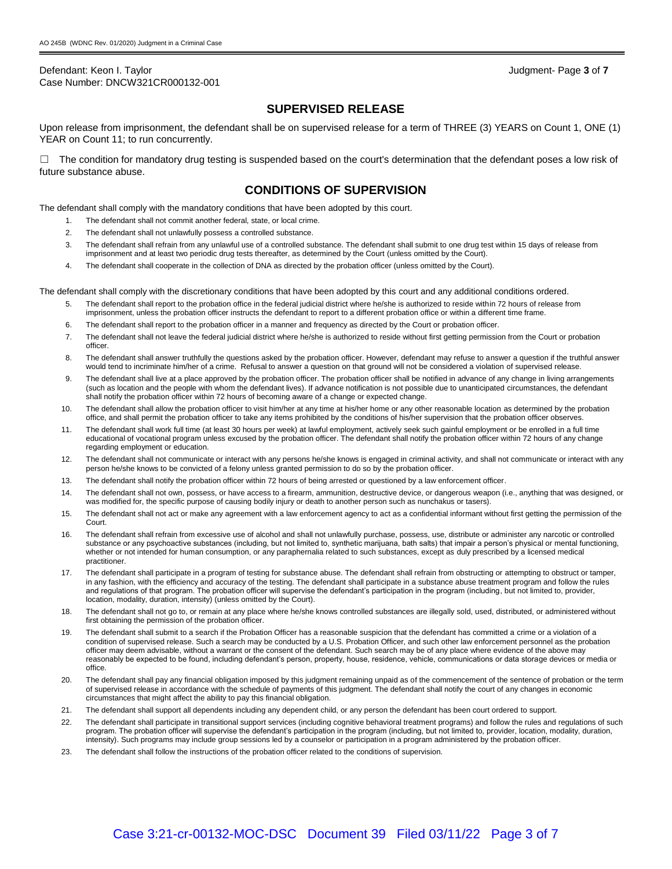Defendant: Keon I. Taylor Judgment- Page **3** of **7** Case Number: DNCW321CR000132-001

## **SUPERVISED RELEASE**

Upon release from imprisonment, the defendant shall be on supervised release for a term of THREE (3) YEARS on Count 1, ONE (1) YEAR on Count 11; to run concurrently.

 $\Box$  The condition for mandatory drug testing is suspended based on the court's determination that the defendant poses a low risk of future substance abuse.

## **CONDITIONS OF SUPERVISION**

The defendant shall comply with the mandatory conditions that have been adopted by this court.

- 1. The defendant shall not commit another federal, state, or local crime.
- 2. The defendant shall not unlawfully possess a controlled substance.
- 3. The defendant shall refrain from any unlawful use of a controlled substance. The defendant shall submit to one drug test within 15 days of release from imprisonment and at least two periodic drug tests thereafter, as determined by the Court (unless omitted by the Court).
- 4. The defendant shall cooperate in the collection of DNA as directed by the probation officer (unless omitted by the Court).

The defendant shall comply with the discretionary conditions that have been adopted by this court and any additional conditions ordered.

- 5. The defendant shall report to the probation office in the federal judicial district where he/she is authorized to reside within 72 hours of release from imprisonment, unless the probation officer instructs the defendant to report to a different probation office or within a different time frame.
- 6. The defendant shall report to the probation officer in a manner and frequency as directed by the Court or probation officer.
- 7. The defendant shall not leave the federal judicial district where he/she is authorized to reside without first getting permission from the Court or probation officer.
- 8. The defendant shall answer truthfully the questions asked by the probation officer. However, defendant may refuse to answer a question if the truthful answer would tend to incriminate him/her of a crime. Refusal to answer a question on that ground will not be considered a violation of supervised release.
- 9. The defendant shall live at a place approved by the probation officer. The probation officer shall be notified in advance of any change in living arrangements (such as location and the people with whom the defendant lives). If advance notification is not possible due to unanticipated circumstances, the defendant shall notify the probation officer within 72 hours of becoming aware of a change or expected change.
- 10. The defendant shall allow the probation officer to visit him/her at any time at his/her home or any other reasonable location as determined by the probation office, and shall permit the probation officer to take any items prohibited by the conditions of his/her supervision that the probation officer observes.
- 11. The defendant shall work full time (at least 30 hours per week) at lawful employment, actively seek such gainful employment or be enrolled in a full time educational of vocational program unless excused by the probation officer. The defendant shall notify the probation officer within 72 hours of any change regarding employment or education.
- 12. The defendant shall not communicate or interact with any persons he/she knows is engaged in criminal activity, and shall not communicate or interact with any person he/she knows to be convicted of a felony unless granted permission to do so by the probation officer.
- 13. The defendant shall notify the probation officer within 72 hours of being arrested or questioned by a law enforcement officer.
- 14. The defendant shall not own, possess, or have access to a firearm, ammunition, destructive device, or dangerous weapon (i.e., anything that was designed, or was modified for, the specific purpose of causing bodily injury or death to another person such as nunchakus or tasers).
- 15. The defendant shall not act or make any agreement with a law enforcement agency to act as a confidential informant without first getting the permission of the Court.
- 16. The defendant shall refrain from excessive use of alcohol and shall not unlawfully purchase, possess, use, distribute or administer any narcotic or controlled substance or any psychoactive substances (including, but not limited to, synthetic marijuana, bath salts) that impair a person's physical or mental functioning, whether or not intended for human consumption, or any paraphernalia related to such substances, except as duly prescribed by a licensed medical practitioner.
- 17. The defendant shall participate in a program of testing for substance abuse. The defendant shall refrain from obstructing or attempting to obstruct or tamper, in any fashion, with the efficiency and accuracy of the testing. The defendant shall participate in a substance abuse treatment program and follow the rules and regulations of that program. The probation officer will supervise the defendant's participation in the program (including, but not limited to, provider, location, modality, duration, intensity) (unless omitted by the Court).
- 18. The defendant shall not go to, or remain at any place where he/she knows controlled substances are illegally sold, used, distributed, or administered without first obtaining the permission of the probation officer.
- 19. The defendant shall submit to a search if the Probation Officer has a reasonable suspicion that the defendant has committed a crime or a violation of a condition of supervised release. Such a search may be conducted by a U.S. Probation Officer, and such other law enforcement personnel as the probation officer may deem advisable, without a warrant or the consent of the defendant. Such search may be of any place where evidence of the above may reasonably be expected to be found, including defendant's person, property, house, residence, vehicle, communications or data storage devices or media or office.
- 20. The defendant shall pay any financial obligation imposed by this judgment remaining unpaid as of the commencement of the sentence of probation or the term of supervised release in accordance with the schedule of payments of this judgment. The defendant shall notify the court of any changes in economic circumstances that might affect the ability to pay this financial obligation.
- 21. The defendant shall support all dependents including any dependent child, or any person the defendant has been court ordered to support.
- 22. The defendant shall participate in transitional support services (including cognitive behavioral treatment programs) and follow the rules and regulations of such program. The probation officer will supervise the defendant's participation in the program (including, but not limited to, provider, location, modality, duration, intensity). Such programs may include group sessions led by a counselor or participation in a program administered by the probation officer.
- 23. The defendant shall follow the instructions of the probation officer related to the conditions of supervision.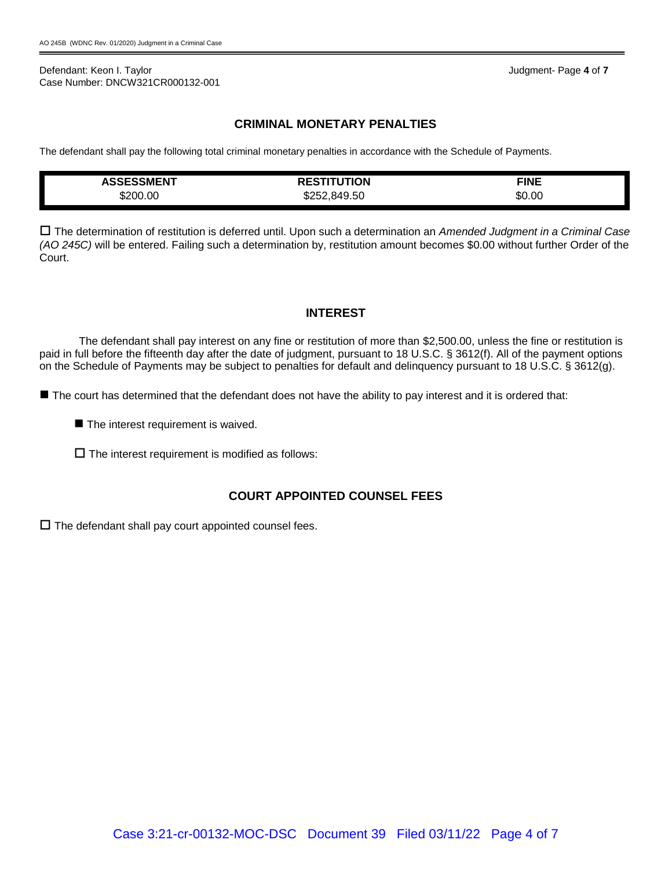#### Defendant: Keon I. Taylor Judgment- Page **4** of **7** Case Number: DNCW321CR000132-001

# **CRIMINAL MONETARY PENALTIES**

The defendant shall pay the following total criminal monetary penalties in accordance with the Schedule of Payments.

| <b><i>ASSESSMENT</i></b> | TUTION<br>-----<br>ט⊐ר | <b>FINE</b> |
|--------------------------|------------------------|-------------|
| \$200.00                 | .849.50<br>Տ25^        | \$0.00      |

 The determination of restitution is deferred until. Upon such a determination an *Amended Judgment in a Criminal Case (AO 245C)* will be entered. Failing such a determination by, restitution amount becomes \$0.00 without further Order of the Court.

# **INTEREST**

The defendant shall pay interest on any fine or restitution of more than \$2,500.00, unless the fine or restitution is paid in full before the fifteenth day after the date of judgment, pursuant to 18 U.S.C. § 3612(f). All of the payment options on the Schedule of Payments may be subject to penalties for default and delinquency pursuant to 18 U.S.C. § 3612(g).

The court has determined that the defendant does not have the ability to pay interest and it is ordered that:

- $\blacksquare$  The interest requirement is waived.
- $\square$  The interest requirement is modified as follows:

# **COURT APPOINTED COUNSEL FEES**

 $\square$  The defendant shall pay court appointed counsel fees.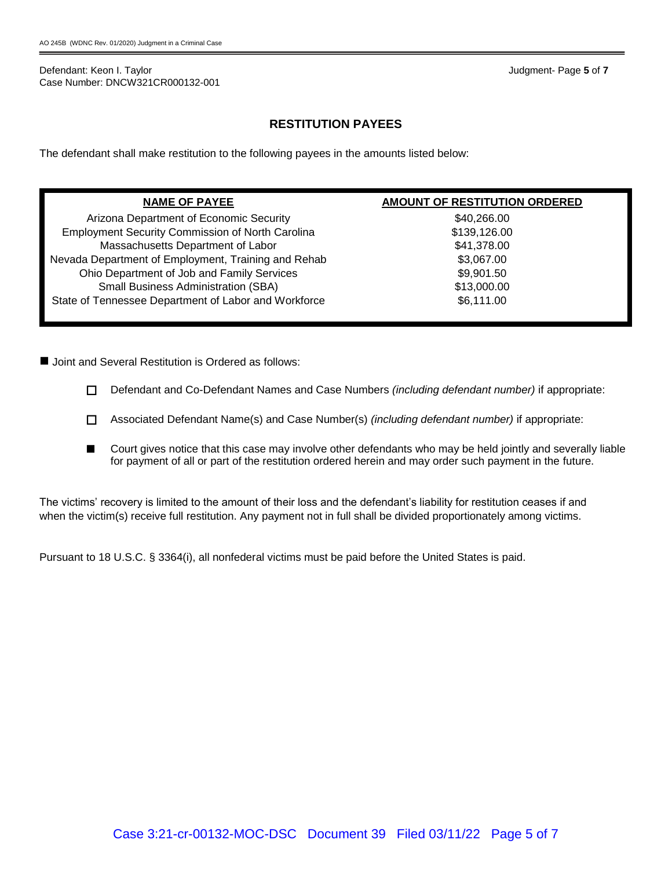Defendant: Keon I. Taylor Judgment- Page **5** of **7** Case Number: DNCW321CR000132-001

# **RESTITUTION PAYEES**

The defendant shall make restitution to the following payees in the amounts listed below:

| <b>NAME OF PAYEE</b>                                    | AMOUNT OF RESTITUTION ORDERED |
|---------------------------------------------------------|-------------------------------|
| Arizona Department of Economic Security                 | \$40,266.00                   |
| <b>Employment Security Commission of North Carolina</b> | \$139,126.00                  |
| Massachusetts Department of Labor                       | \$41,378.00                   |
| Nevada Department of Employment, Training and Rehab     | \$3,067.00                    |
| Ohio Department of Job and Family Services              | \$9,901.50                    |
| <b>Small Business Administration (SBA)</b>              | \$13,000.00                   |
| State of Tennessee Department of Labor and Workforce    | \$6,111.00                    |
|                                                         |                               |

■ Joint and Several Restitution is Ordered as follows:

- Defendant and Co-Defendant Names and Case Numbers *(including defendant number)* if appropriate:
- Associated Defendant Name(s) and Case Number(s) *(including defendant number)* if appropriate:
- Court gives notice that this case may involve other defendants who may be held jointly and severally liable for payment of all or part of the restitution ordered herein and may order such payment in the future.

The victims' recovery is limited to the amount of their loss and the defendant's liability for restitution ceases if and when the victim(s) receive full restitution. Any payment not in full shall be divided proportionately among victims.

Pursuant to 18 U.S.C. § 3364(i), all nonfederal victims must be paid before the United States is paid.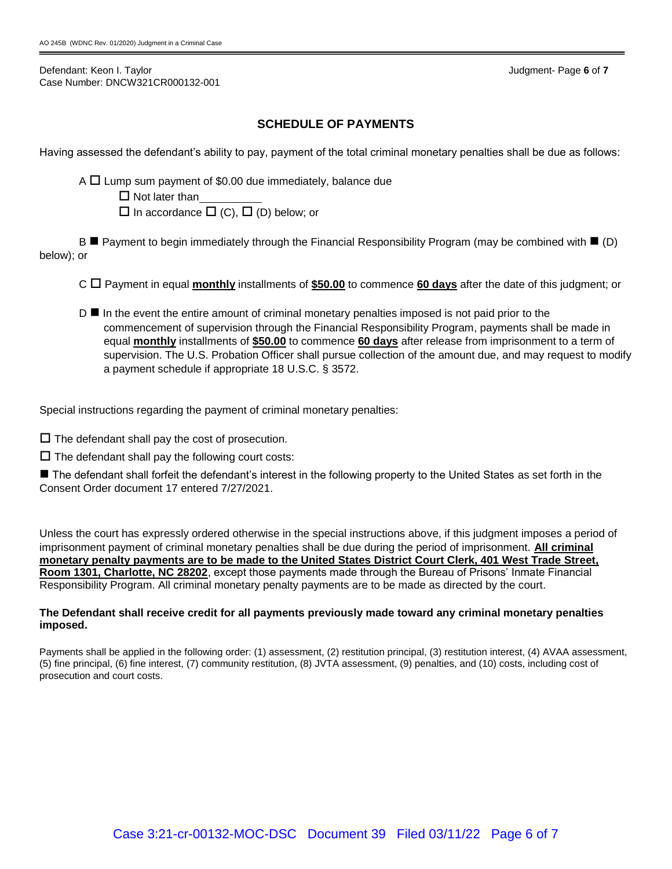Defendant: Keon I. Taylor Judgment- Page **6** of **7** Case Number: DNCW321CR000132-001

# **SCHEDULE OF PAYMENTS**

Having assessed the defendant's ability to pay, payment of the total criminal monetary penalties shall be due as follows:

A  $\Box$  Lump sum payment of \$0.00 due immediately, balance due

 $\Box$  Not later than

 $\square$  In accordance  $\square$  (C),  $\square$  (D) below; or

 $B \blacksquare$  Payment to begin immediately through the Financial Responsibility Program (may be combined with  $\blacksquare$  (D) below); or

C Payment in equal **monthly** installments of **\$50.00** to commence **60 days** after the date of this judgment; or

 $D \blacksquare$  In the event the entire amount of criminal monetary penalties imposed is not paid prior to the commencement of supervision through the Financial Responsibility Program, payments shall be made in equal **monthly** installments of **\$50.00** to commence **60 days** after release from imprisonment to a term of supervision. The U.S. Probation Officer shall pursue collection of the amount due, and may request to modify a payment schedule if appropriate 18 U.S.C. § 3572.

Special instructions regarding the payment of criminal monetary penalties:

 $\square$  The defendant shall pay the cost of prosecution.

 $\square$  The defendant shall pay the following court costs:

■ The defendant shall forfeit the defendant's interest in the following property to the United States as set forth in the Consent Order document 17 entered 7/27/2021.

Unless the court has expressly ordered otherwise in the special instructions above, if this judgment imposes a period of imprisonment payment of criminal monetary penalties shall be due during the period of imprisonment. **All criminal monetary penalty payments are to be made to the United States District Court Clerk, 401 West Trade Street, Room 1301, Charlotte, NC 28202**, except those payments made through the Bureau of Prisons' Inmate Financial Responsibility Program. All criminal monetary penalty payments are to be made as directed by the court.

#### **The Defendant shall receive credit for all payments previously made toward any criminal monetary penalties imposed.**

Payments shall be applied in the following order: (1) assessment, (2) restitution principal, (3) restitution interest, (4) AVAA assessment, (5) fine principal, (6) fine interest, (7) community restitution, (8) JVTA assessment, (9) penalties, and (10) costs, including cost of prosecution and court costs.